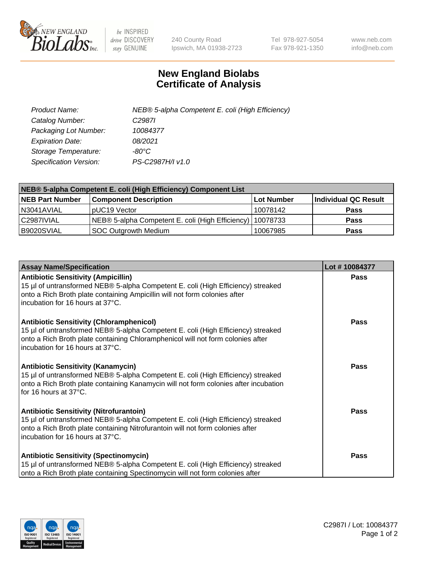

 $be$  INSPIRED drive DISCOVERY stay GENUINE

240 County Road Ipswich, MA 01938-2723 Tel 978-927-5054 Fax 978-921-1350 www.neb.com info@neb.com

## **New England Biolabs Certificate of Analysis**

| Product Name:                 | NEB® 5-alpha Competent E. coli (High Efficiency) |
|-------------------------------|--------------------------------------------------|
| Catalog Number:               | C <sub>2987</sub>                                |
| Packaging Lot Number:         | 10084377                                         |
| <b>Expiration Date:</b>       | 08/2021                                          |
| Storage Temperature:          | -80°C                                            |
| <b>Specification Version:</b> | PS-C2987H/I v1.0                                 |

| NEB® 5-alpha Competent E. coli (High Efficiency) Component List |                                                             |                   |                      |  |
|-----------------------------------------------------------------|-------------------------------------------------------------|-------------------|----------------------|--|
| <b>NEB Part Number</b>                                          | <b>Component Description</b>                                | <b>Lot Number</b> | Individual QC Result |  |
| N3041AVIAL                                                      | pUC19 Vector                                                | 10078142          | <b>Pass</b>          |  |
| C2987IVIAL                                                      | NEB® 5-alpha Competent E. coli (High Efficiency)   10078733 |                   | <b>Pass</b>          |  |
| B9020SVIAL                                                      | SOC Outgrowth Medium                                        | 10067985          | <b>Pass</b>          |  |

| <b>Assay Name/Specification</b>                                                                                                                                                                                                                            | Lot #10084377 |
|------------------------------------------------------------------------------------------------------------------------------------------------------------------------------------------------------------------------------------------------------------|---------------|
| <b>Antibiotic Sensitivity (Ampicillin)</b><br>15 µl of untransformed NEB® 5-alpha Competent E. coli (High Efficiency) streaked<br>onto a Rich Broth plate containing Ampicillin will not form colonies after<br>incubation for 16 hours at 37°C.           | <b>Pass</b>   |
| <b>Antibiotic Sensitivity (Chloramphenicol)</b><br>15 µl of untransformed NEB® 5-alpha Competent E. coli (High Efficiency) streaked<br>onto a Rich Broth plate containing Chloramphenicol will not form colonies after<br>incubation for 16 hours at 37°C. | Pass          |
| Antibiotic Sensitivity (Kanamycin)<br>15 µl of untransformed NEB® 5-alpha Competent E. coli (High Efficiency) streaked<br>onto a Rich Broth plate containing Kanamycin will not form colonies after incubation<br>for 16 hours at 37°C.                    | Pass          |
| <b>Antibiotic Sensitivity (Nitrofurantoin)</b><br>15 µl of untransformed NEB® 5-alpha Competent E. coli (High Efficiency) streaked<br>onto a Rich Broth plate containing Nitrofurantoin will not form colonies after<br>incubation for 16 hours at 37°C.   | <b>Pass</b>   |
| <b>Antibiotic Sensitivity (Spectinomycin)</b><br>15 µl of untransformed NEB® 5-alpha Competent E. coli (High Efficiency) streaked<br>onto a Rich Broth plate containing Spectinomycin will not form colonies after                                         | Pass          |